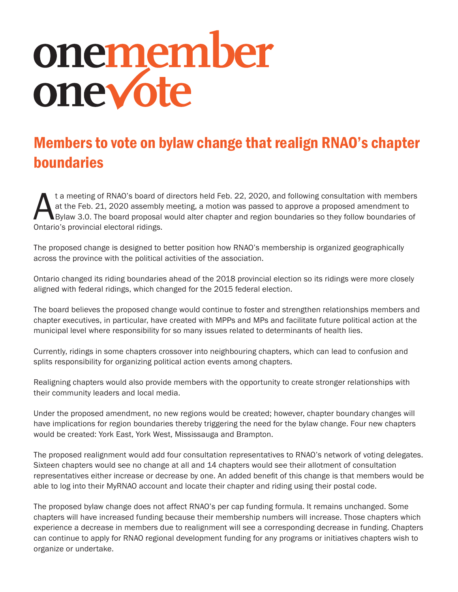# onemember<br>onevote

# Members to vote on bylaw change that realign RNAO's chapter boundaries

t a meeting of RNAO's board of directors held Feb. 22, 2020, and following consultation with members<br>at the Feb. 21, 2020 assembly meeting, a motion was passed to approve a proposed amendment to<br>Dylaw 3.0. The board propos at the Feb. 21, 2020 assembly meeting, a motion was passed to approve a proposed amendment to Bylaw 3.0. The board proposal would alter chapter and region boundaries so they follow boundaries of Ontario's provincial electoral ridings.

The proposed change is designed to better position how RNAO's membership is organized geographically across the province with the political activities of the association.

Ontario changed its riding boundaries ahead of the 2018 provincial election so its ridings were more closely aligned with federal ridings, which changed for the 2015 federal election.

The board believes the proposed change would continue to foster and strengthen relationships members and chapter executives, in particular, have created with MPPs and MPs and facilitate future political action at the municipal level where responsibility for so many issues related to determinants of health lies.

Currently, ridings in some chapters crossover into neighbouring chapters, which can lead to confusion and splits responsibility for organizing political action events among chapters.

Realigning chapters would also provide members with the opportunity to create stronger relationships with their community leaders and local media.

Under the proposed amendment, no new regions would be created; however, chapter boundary changes will have implications for region boundaries thereby triggering the need for the bylaw change. Four new chapters would be created: York East, York West, Mississauga and Brampton.

The proposed realignment would add four consultation representatives to RNAO's network of voting delegates. Sixteen chapters would see no change at all and 14 chapters would see their allotment of consultation representatives either increase or decrease by one. An added benefit of this change is that members would be able to log into their MyRNAO account and locate their chapter and riding using their postal code.

The proposed bylaw change does not affect RNAO's per cap funding formula. It remains unchanged. Some chapters will have increased funding because their membership numbers will increase. Those chapters which experience a decrease in members due to realignment will see a corresponding decrease in funding. Chapters can continue to apply for RNAO regional development funding for any programs or initiatives chapters wish to organize or undertake.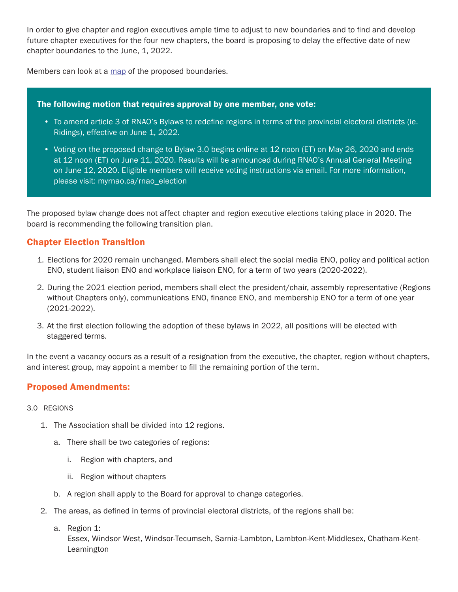In order to give chapter and region executives ample time to adjust to new boundaries and to find and develop future chapter executives for the four new chapters, the board is proposing to delay the effective date of new chapter boundaries to the June, 1, 2022.

Members can look at a map of the proposed boundaries.

### The following motion that requires approval by one member, one vote:

- To amend article 3 of RNAO's Bylaws to redefine regions in terms of the provincial electoral districts (ie. Ridings), effective on June 1, 2022.
- Voting on the proposed change to Bylaw 3.0 begins online at 12 noon (ET) on May 26, 2020 and ends at 12 noon (ET) on June 11, 2020. Results will be announced during RNAO's Annual General Meeting on June 12, 2020. Eligible members will receive voting instructions via email. For more information, please visit: myrnao.ca/rnao\_election

The proposed bylaw change does not affect chapter and region executive elections taking place in 2020. The board is recommending the following transition plan.

# Chapter Election Transition

- 1. Elections for 2020 remain unchanged. Members shall elect the social media ENO, policy and political action ENO, student liaison ENO and workplace liaison ENO, for a term of two years (2020-2022).
- 2. During the 2021 election period, members shall elect the president/chair, assembly representative (Regions without Chapters only), communications ENO, finance ENO, and membership ENO for a term of one year (2021-2022).
- 3. At the first election following the adoption of these bylaws in 2022, all positions will be elected with staggered terms.

In the event a vacancy occurs as a result of a resignation from the executive, the chapter, region without chapters, and interest group, may appoint a member to fill the remaining portion of the term.

# Proposed Amendments:

- 3.0 REGIONS
	- 1. The Association shall be divided into 12 regions.
		- a. There shall be two categories of regions:
			- i. Region with chapters, and
			- ii. Region without chapters
		- b. A region shall apply to the Board for approval to change categories.
	- 2. The areas, as defined in terms of provincial electoral districts, of the regions shall be:
		- a. Region 1:

Essex, Windsor West, Windsor-Tecumseh, Sarnia-Lambton, Lambton-Kent-Middlesex, Chatham-Kent-Leamington